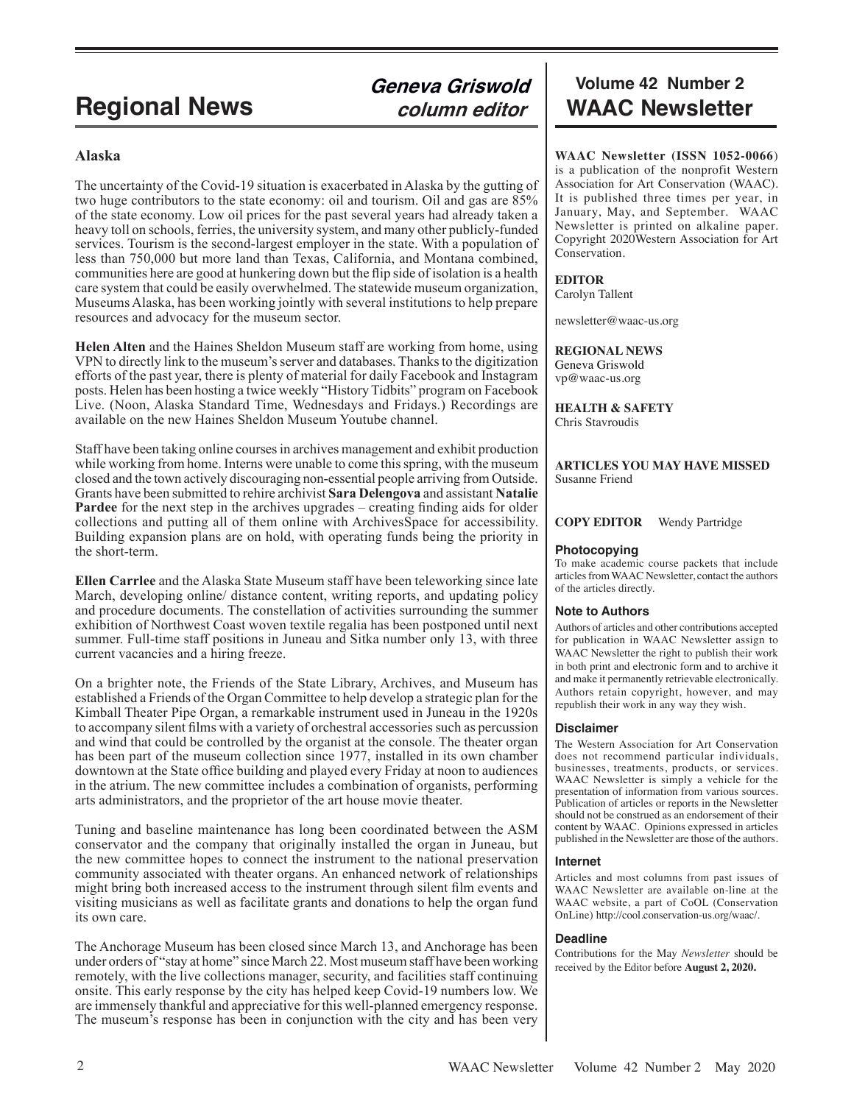# **Alaska**

The uncertainty of the Covid-19 situation is exacerbated in Alaska by the gutting of two huge contributors to the state economy: oil and tourism. Oil and gas are 85% of the state economy. Low oil prices for the past several years had already taken a heavy toll on schools, ferries, the university system, and many other publicly-funded services. Tourism is the second-largest employer in the state. With a population of less than 750,000 but more land than Texas, California, and Montana combined, communities here are good at hunkering down but the flip side of isolation is a health care system that could be easily overwhelmed. The statewide museum organization, Museums Alaska, has been working jointly with several institutions to help prepare resources and advocacy for the museum sector.

**Helen Alten** and the Haines Sheldon Museum staff are working from home, using VPN to directly link to the museum's server and databases. Thanks to the digitization efforts of the past year, there is plenty of material for daily Facebook and Instagram posts. Helen has been hosting a twice weekly "History Tidbits" program on Facebook Live. (Noon, Alaska Standard Time, Wednesdays and Fridays.) Recordings are available on the new Haines Sheldon Museum Youtube channel.

Staff have been taking online courses in archives management and exhibit production while working from home. Interns were unable to come this spring, with the museum closed and the town actively discouraging non-essential people arriving from Outside. Grants have been submitted to rehire archivist **Sara Delengova** and assistant **Natalie Pardee** for the next step in the archives upgrades – creating finding aids for older collections and putting all of them online with ArchivesSpace for accessibility. Building expansion plans are on hold, with operating funds being the priority in the short-term.

**Ellen Carrlee** and the Alaska State Museum staff have been teleworking since late March, developing online/ distance content, writing reports, and updating policy and procedure documents. The constellation of activities surrounding the summer exhibition of Northwest Coast woven textile regalia has been postponed until next summer. Full-time staff positions in Juneau and Sitka number only 13, with three current vacancies and a hiring freeze.

On a brighter note, the Friends of the State Library, Archives, and Museum has established a Friends of the Organ Committee to help develop a strategic plan for the Kimball Theater Pipe Organ, a remarkable instrument used in Juneau in the 1920s to accompany silent films with a variety of orchestral accessories such as percussion and wind that could be controlled by the organist at the console. The theater organ has been part of the museum collection since 1977, installed in its own chamber downtown at the State office building and played every Friday at noon to audiences in the atrium. The new committee includes a combination of organists, performing arts administrators, and the proprietor of the art house movie theater.

Tuning and baseline maintenance has long been coordinated between the ASM conservator and the company that originally installed the organ in Juneau, but the new committee hopes to connect the instrument to the national preservation community associated with theater organs. An enhanced network of relationships might bring both increased access to the instrument through silent film events and visiting musicians as well as facilitate grants and donations to help the organ fund its own care.

The Anchorage Museum has been closed since March 13, and Anchorage has been under orders of "stay at home" since March 22. Most museum staff have been working remotely, with the live collections manager, security, and facilities staff continuing onsite. This early response by the city has helped keep Covid-19 numbers low. We are immensely thankful and appreciative for this well-planned emergency response. The museum's response has been in conjunction with the city and has been very

# **Volume 42 Number 2 Regional News** *Column editor* WAAC Newsletter

**WAAC Newsletter (ISSN 1052-0066**) is a publication of the nonprofit Western Association for Art Conservation (WAAC). It is published three times per year, in January, May, and September. WAAC Newsletter is printed on alkaline paper. Copyright 2020Western Association for Art Conservation.

### **EDITOR**

Carolyn Tallent

newsletter@waac-us.org

**REGIONAL NEWS** Geneva Griswold vp@waac-us.org

**HEALTH & SAFETY**

Chris Stavroudis

#### **ARTICLES YOU MAY HAVE MISSED** Susanne Friend

#### **COPY EDITOR** Wendy Partridge

### **Photocopying**

To make academic course packets that include articles from WAAC Newsletter, contact the authors of the articles directly.

#### **Note to Authors**

Authors of articles and other contributions accepted for publication in WAAC Newsletter assign to WAAC Newsletter the right to publish their work in both print and electronic form and to archive it and make it permanently retrievable electronically. Authors retain copyright, however, and may republish their work in any way they wish.

#### **Disclaimer**

The Western Association for Art Conservation does not recommend particular individuals, businesses, treatments, products, or services. WAAC Newsletter is simply a vehicle for the presentation of information from various sources. Publication of articles or reports in the Newsletter should not be construed as an endorsement of their content by WAAC. Opinions expressed in articles published in the Newsletter are those of the authors.

#### **Internet**

Articles and most columns from past issues of WAAC Newsletter are available on-line at the WAAC website, a part of CoOL (Conservation OnLine) http://cool.conservation-us.org/waac/.

#### **Deadline**

Contributions for the May *Newsletter* should be received by the Editor before **August 2, 2020.**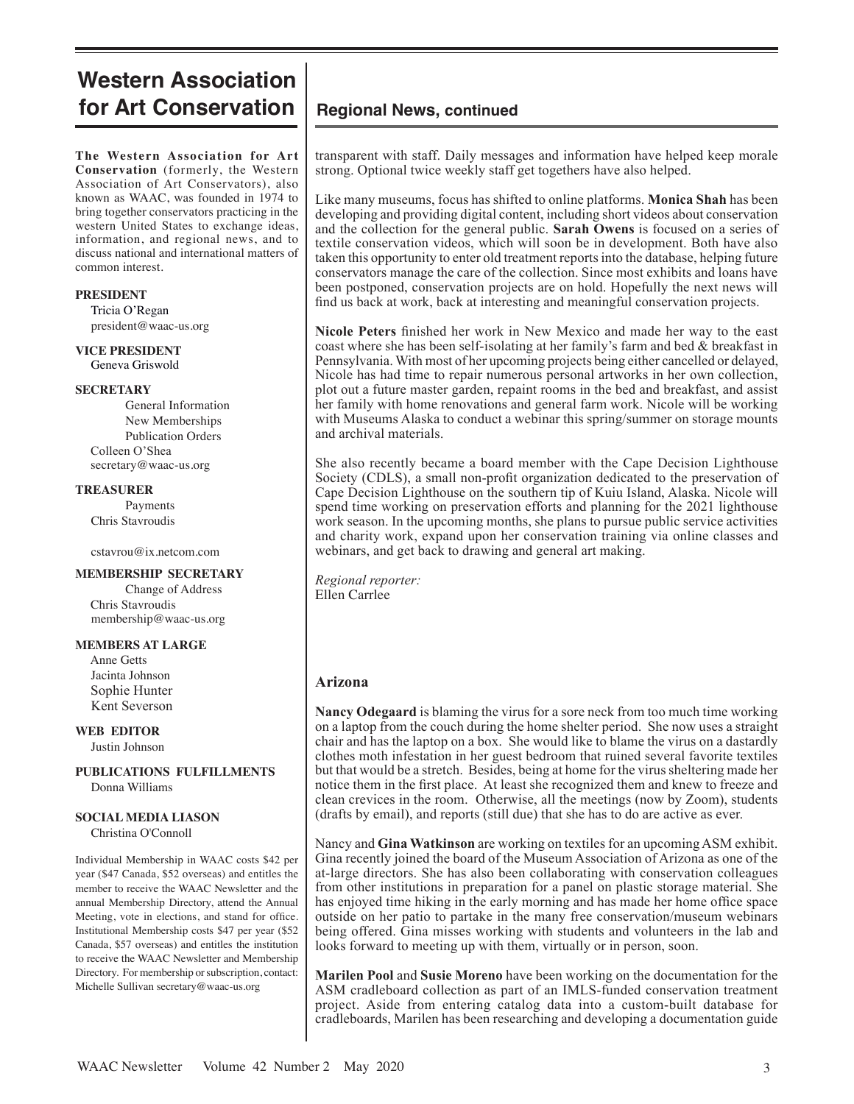# **Western Association for Art Conservation**

**The Western Association for Art Conservation** (formerly, the Western Association of Art Conservators), also known as WAAC, was founded in 1974 to bring together conservators practicing in the western United States to exchange ideas, information, and regional news, and to discuss national and international matters of common interest.

#### **PRESIDENT**

 Tricia O'Regan president@waac-us.org

#### **VICE PRESIDENT** Geneva Griswold

#### **SECRETARY**

General Information New Memberships Publication Orders Colleen O'Shea secretary@waac-us.org

#### **TREASURER**

Payments Chris Stavroudis

#### cstavrou@ix.netcom.com

#### **MEMBERSHIP SECRETARY**

Change of Address Chris Stavroudis membership@waac-us.org

#### **MEMBERS AT LARGE**

 Anne Getts Jacinta Johnson Sophie Hunter Kent Severson

**WEB EDITOR** Justin Johnson

**PUBLICATIONS FULFILLMENTS** Donna Williams

# **SOCIAL MEDIA LIASON**

Christina O'Connoll

Individual Membership in WAAC costs \$42 per year (\$47 Canada, \$52 overseas) and entitles the member to receive the WAAC Newsletter and the annual Membership Directory, attend the Annual Meeting, vote in elections, and stand for office. Institutional Membership costs \$47 per year (\$52 Canada, \$57 overseas) and entitles the institution to receive the WAAC Newsletter and Membership Directory. For membership or subscription, contact: Michelle Sullivan secretary@waac-us.org

# **Regional News, continued**

transparent with staff. Daily messages and information have helped keep morale strong. Optional twice weekly staff get togethers have also helped.

Like many museums, focus has shifted to online platforms. **Monica Shah** has been developing and providing digital content, including short videos about conservation and the collection for the general public. **Sarah Owens** is focused on a series of textile conservation videos, which will soon be in development. Both have also taken this opportunity to enter old treatment reports into the database, helping future conservators manage the care of the collection. Since most exhibits and loans have been postponed, conservation projects are on hold. Hopefully the next news will find us back at work, back at interesting and meaningful conservation projects.

**Nicole Peters** finished her work in New Mexico and made her way to the east coast where she has been self-isolating at her family's farm and bed & breakfast in Pennsylvania. With most of her upcoming projects being either cancelled or delayed, Nicole has had time to repair numerous personal artworks in her own collection, plot out a future master garden, repaint rooms in the bed and breakfast, and assist her family with home renovations and general farm work. Nicole will be working with Museums Alaska to conduct a webinar this spring/summer on storage mounts and archival materials.

She also recently became a board member with the Cape Decision Lighthouse Society (CDLS), a small non-profit organization dedicated to the preservation of Cape Decision Lighthouse on the southern tip of Kuiu Island, Alaska. Nicole will spend time working on preservation efforts and planning for the 2021 lighthouse work season. In the upcoming months, she plans to pursue public service activities and charity work, expand upon her conservation training via online classes and webinars, and get back to drawing and general art making.

*Regional reporter:* Ellen Carrlee

# **Arizona**

**Nancy Odegaard** is blaming the virus for a sore neck from too much time working on a laptop from the couch during the home shelter period. She now uses a straight chair and has the laptop on a box. She would like to blame the virus on a dastardly clothes moth infestation in her guest bedroom that ruined several favorite textiles but that would be a stretch. Besides, being at home for the virus sheltering made her notice them in the first place. At least she recognized them and knew to freeze and clean crevices in the room. Otherwise, all the meetings (now by Zoom), students (drafts by email), and reports (still due) that she has to do are active as ever.

Nancy and **Gina Watkinson** are working on textiles for an upcoming ASM exhibit. Gina recently joined the board of the Museum Association of Arizona as one of the at-large directors. She has also been collaborating with conservation colleagues from other institutions in preparation for a panel on plastic storage material. She has enjoyed time hiking in the early morning and has made her home office space outside on her patio to partake in the many free conservation/museum webinars being offered. Gina misses working with students and volunteers in the lab and looks forward to meeting up with them, virtually or in person, soon.

**Marilen Pool** and **Susie Moreno** have been working on the documentation for the ASM cradleboard collection as part of an IMLS-funded conservation treatment project. Aside from entering catalog data into a custom-built database for cradleboards, Marilen has been researching and developing a documentation guide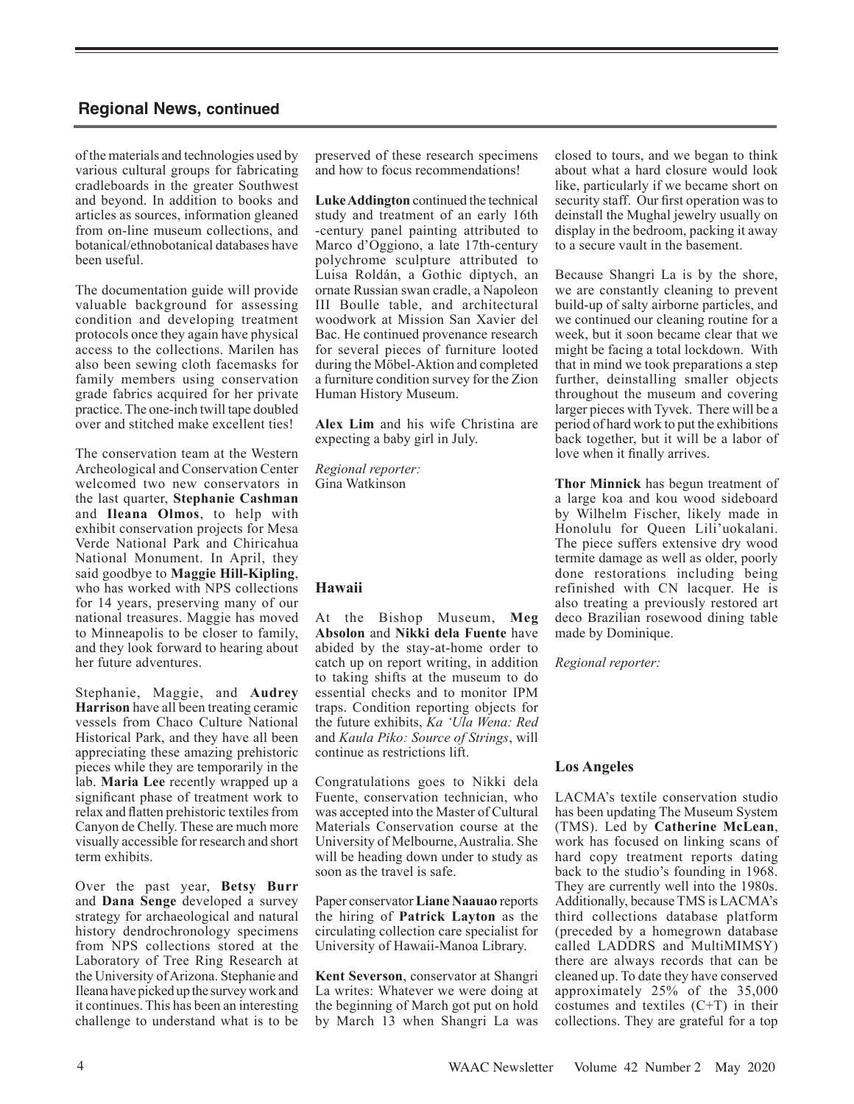of the materials and technologies used by various cultural groups for fabricating cradleboards in the greater Southwest and beyond. In addition to books and articles as sources, information gleaned from on-line museum collections, and botanical/ethnobotanical databases have been useful.

The documentation guide will provide valuable background for assessing condition and developing treatment protocols once they again have physical access to the collections. Marilen has also been sewing cloth facemasks for family members using conservation grade fabrics acquired for her private practice. The one-inch twill tape doubled over and stitched make excellent ties!

The conservation team at the Western Archeological and Conservation Center welcomed two new conservators in the last quarter, **Stephanie Cashman** and **Ileana Olmos**, to help with exhibit conservation projects for Mesa Verde National Park and Chiricahua National Monument. In April, they said goodbye to **Maggie Hill-Kipling**, who has worked with NPS collections for 14 years, preserving many of our national treasures. Maggie has moved to Minneapolis to be closer to family, and they look forward to hearing about her future adventures.

Stephanie, Maggie, and **Audrey Harrison** have all been treating ceramic vessels from Chaco Culture National Historical Park, and they have all been appreciating these amazing prehistoric pieces while they are temporarily in the lab. **Maria Lee** recently wrapped up a significant phase of treatment work to relax and flatten prehistoric textiles from Canyon de Chelly. These are much more visually accessible for research and short term exhibits.

Over the past year, **Betsy Burr** and **Dana Senge** developed a survey strategy for archaeological and natural history dendrochronology specimens from NPS collections stored at the Laboratory of Tree Ring Research at the University of Arizona. Stephanie and Ileana have picked up the survey work and it continues. This has been an interesting challenge to understand what is to be

preserved of these research specimens and how to focus recommendations!

**Luke Addington** continued the technical study and treatment of an early 16th -century panel painting attributed to Marco d'Oggiono, a late 17th-century polychrome sculpture attributed to Luisa Roldán, a Gothic diptych, an ornate Russian swan cradle, a Napoleon III Boulle table, and architectural woodwork at Mission San Xavier del Bac. He continued provenance research for several pieces of furniture looted during the Möbel-Aktion and completed a furniture condition survey for the Zion Human History Museum.

**Alex Lim** and his wife Christina are expecting a baby girl in July.

*Regional reporter:* Gina Watkinson

# **Hawaii**

At the Bishop Museum, **Meg Absolon** and **Nikki dela Fuente** have abided by the stay-at-home order to catch up on report writing, in addition to taking shifts at the museum to do essential checks and to monitor IPM traps. Condition reporting objects for the future exhibits, *Ka 'Ula Wena: Red*  and *Kaula Piko: Source of Strings*, will continue as restrictions lift.

Congratulations goes to Nikki dela Fuente, conservation technician, who was accepted into the Master of Cultural Materials Conservation course at the University of Melbourne, Australia. She will be heading down under to study as soon as the travel is safe.

Paper conservator **Liane Naauao** reports the hiring of **Patrick Layton** as the circulating collection care specialist for University of Hawaii-Manoa Library.

**Kent Severson**, conservator at Shangri La writes: Whatever we were doing at the beginning of March got put on hold by March 13 when Shangri La was closed to tours, and we began to think about what a hard closure would look like, particularly if we became short on security staff. Our first operation was to deinstall the Mughal jewelry usually on display in the bedroom, packing it away to a secure vault in the basement.

Because Shangri La is by the shore, we are constantly cleaning to prevent build-up of salty airborne particles, and we continued our cleaning routine for a week, but it soon became clear that we might be facing a total lockdown. With that in mind we took preparations a step further, deinstalling smaller objects throughout the museum and covering larger pieces with Tyvek. There will be a period of hard work to put the exhibitions back together, but it will be a labor of love when it finally arrives.

**Thor Minnick** has begun treatment of a large koa and kou wood sideboard by Wilhelm Fischer, likely made in Honolulu for Queen Lili'uokalani. The piece suffers extensive dry wood termite damage as well as older, poorly done restorations including being refinished with CN lacquer. He is also treating a previously restored art deco Brazilian rosewood dining table made by Dominique.

*Regional reporter:*

# **Los Angeles**

LACMA's textile conservation studio has been updating The Museum System (TMS). Led by **Catherine McLean**, work has focused on linking scans of hard copy treatment reports dating back to the studio's founding in 1968. They are currently well into the 1980s. Additionally, because TMS is LACMA's third collections database platform (preceded by a homegrown database called LADDRS and MultiMIMSY) there are always records that can be cleaned up. To date they have conserved approximately 25% of the 35,000 costumes and textiles (C+T) in their collections. They are grateful for a top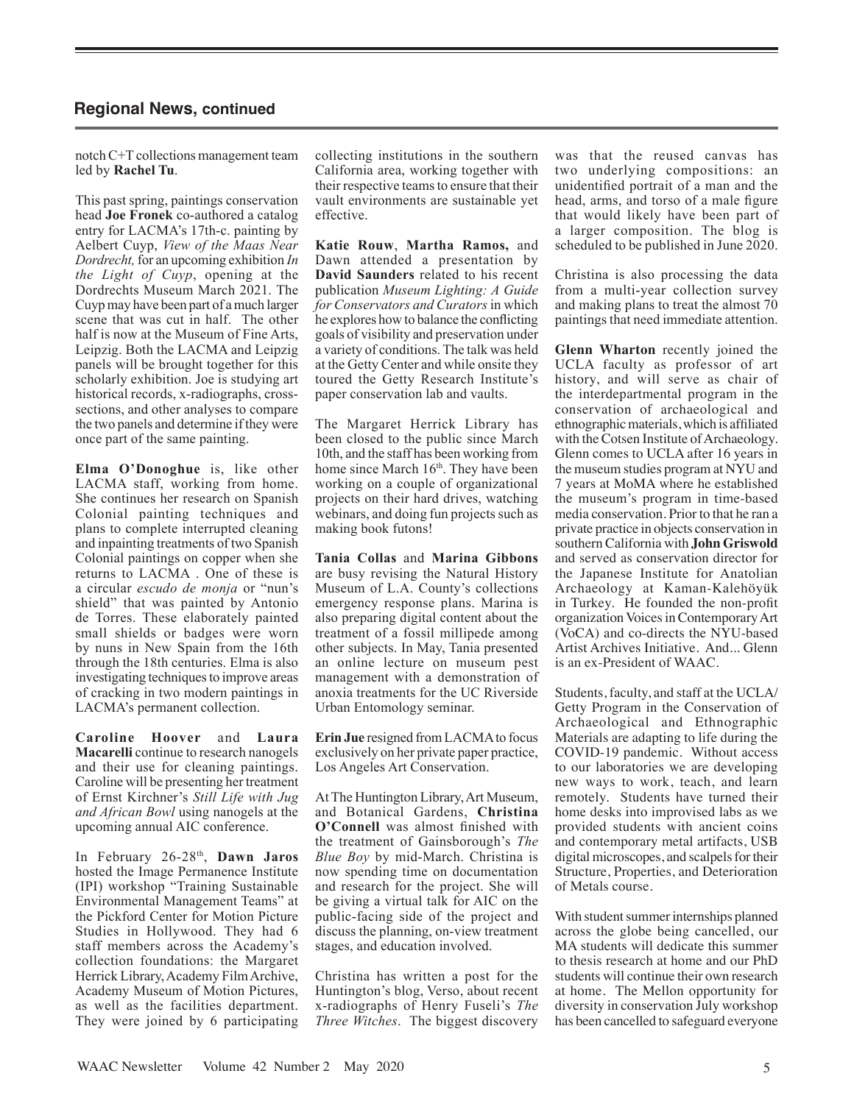notch C+T collections management team led by **Rachel Tu**.

This past spring, paintings conservation head **Joe Fronek** co-authored a catalog entry for LACMA's 17th-c. painting by Aelbert Cuyp, *View of the Maas Near Dordrecht,* for an upcoming exhibition *In the Light of Cuyp*, opening at the Dordrechts Museum March 2021. The Cuyp may have been part of a much larger scene that was cut in half. The other half is now at the Museum of Fine Arts, Leipzig. Both the LACMA and Leipzig panels will be brought together for this scholarly exhibition. Joe is studying art historical records, x-radiographs, crosssections, and other analyses to compare the two panels and determine if they were once part of the same painting.

**Elma O'Donoghue** is, like other LACMA staff, working from home. She continues her research on Spanish Colonial painting techniques and plans to complete interrupted cleaning and inpainting treatments of two Spanish Colonial paintings on copper when she returns to LACMA . One of these is a circular *escudo de monja* or "nun's shield" that was painted by Antonio de Torres. These elaborately painted small shields or badges were worn by nuns in New Spain from the 16th through the 18th centuries. Elma is also investigating techniques to improve areas of cracking in two modern paintings in LACMA's permanent collection.

**Caroline Hoover** and **Laura Macarelli** continue to research nanogels and their use for cleaning paintings. Caroline will be presenting her treatment of Ernst Kirchner's *Still Life with Jug and African Bowl* using nanogels at the upcoming annual AIC conference.

In February 26-28th, **Dawn Jaros** hosted the Image Permanence Institute (IPI) workshop "Training Sustainable Environmental Management Teams" at the Pickford Center for Motion Picture Studies in Hollywood. They had 6 staff members across the Academy's collection foundations: the Margaret Herrick Library, Academy Film Archive, Academy Museum of Motion Pictures, as well as the facilities department. They were joined by 6 participating

collecting institutions in the southern California area, working together with their respective teams to ensure that their vault environments are sustainable yet effective.

**Katie Rouw**, **Martha Ramos,** and Dawn attended a presentation by **David Saunders** related to his recent publication *Museum Lighting: A Guide for Conservators and Curators* in which he explores how to balance the conflicting goals of visibility and preservation under a variety of conditions. The talk was held at the Getty Center and while onsite they toured the Getty Research Institute's paper conservation lab and vaults.

The Margaret Herrick Library has been closed to the public since March 10th, and the staff has been working from home since March 16<sup>th</sup>. They have been working on a couple of organizational projects on their hard drives, watching webinars, and doing fun projects such as making book futons!

**Tania Collas** and **Marina Gibbons** are busy revising the Natural History Museum of L.A. County's collections emergency response plans. Marina is also preparing digital content about the treatment of a fossil millipede among other subjects. In May, Tania presented an online lecture on museum pest management with a demonstration of anoxia treatments for the UC Riverside Urban Entomology seminar.

**Erin Jue** resigned from LACMA to focus exclusively on her private paper practice, Los Angeles Art Conservation.

At The Huntington Library, Art Museum, and Botanical Gardens, **Christina O'Connell** was almost finished with the treatment of Gainsborough's *The Blue Boy* by mid-March. Christina is now spending time on documentation and research for the project. She will be giving a virtual talk for AIC on the public-facing side of the project and discuss the planning, on-view treatment stages, and education involved.

Christina has written a post for the Huntington's blog, Verso, about recent x-radiographs of Henry Fuseli's *The Three Witches*. The biggest discovery was that the reused canvas has two underlying compositions: an unidentified portrait of a man and the head, arms, and torso of a male figure that would likely have been part of a larger composition. The blog is scheduled to be published in June 2020.

Christina is also processing the data from a multi-year collection survey and making plans to treat the almost 70 paintings that need immediate attention.

**Glenn Wharton** recently joined the UCLA faculty as professor of art history, and will serve as chair of the interdepartmental program in the conservation of archaeological and ethnographic materials, which is affiliated with the Cotsen Institute of Archaeology. Glenn comes to UCLA after 16 years in the museum studies program at NYU and 7 years at MoMA where he established the museum's program in time-based media conservation. Prior to that he ran a private practice in objects conservation in southern California with **John Griswold** and served as conservation director for the Japanese Institute for Anatolian Archaeology at Kaman-Kalehöyük in Turkey. He founded the non-profit organization Voices in Contemporary Art (VoCA) and co-directs the NYU-based Artist Archives Initiative. And... Glenn is an ex-President of WAAC.

Students, faculty, and staff at the UCLA/ Getty Program in the Conservation of Archaeological and Ethnographic Materials are adapting to life during the COVID-19 pandemic. Without access to our laboratories we are developing new ways to work, teach, and learn remotely. Students have turned their home desks into improvised labs as we provided students with ancient coins and contemporary metal artifacts, USB digital microscopes, and scalpels for their Structure, Properties, and Deterioration of Metals course.

With student summer internships planned across the globe being cancelled, our MA students will dedicate this summer to thesis research at home and our PhD students will continue their own research at home. The Mellon opportunity for diversity in conservation July workshop has been cancelled to safeguard everyone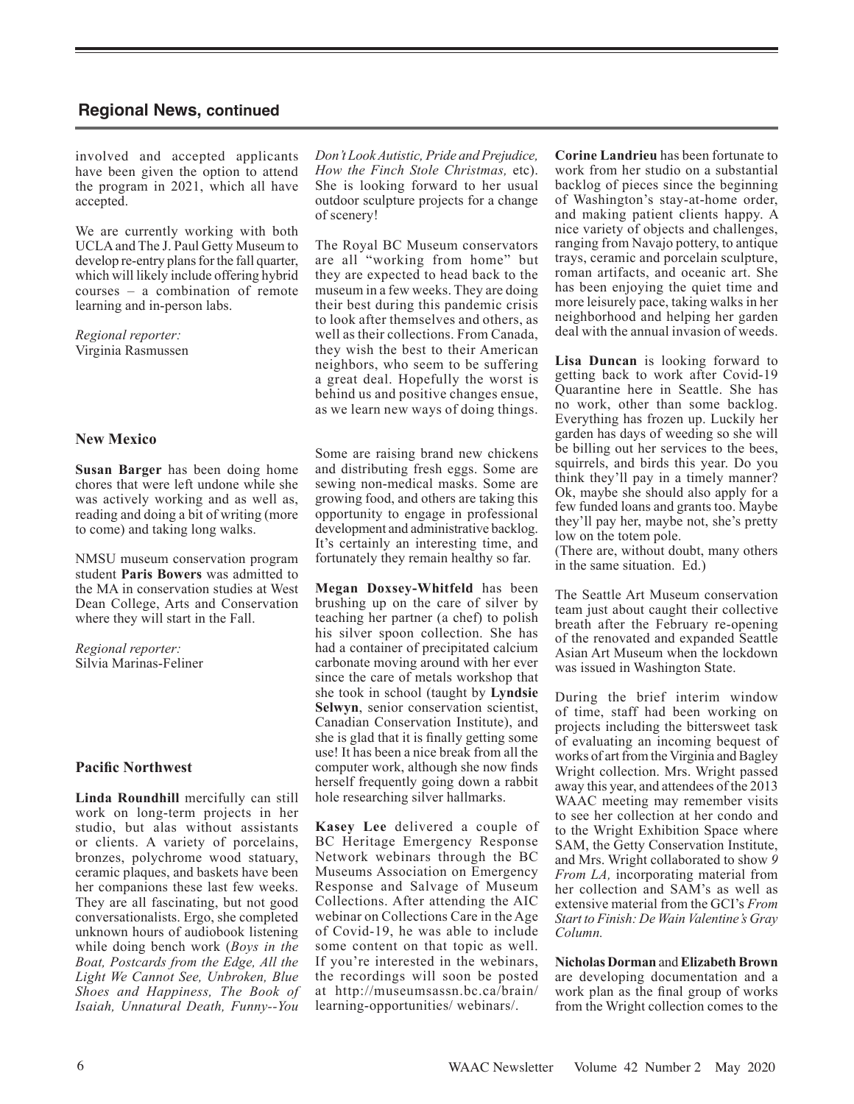involved and accepted applicants have been given the option to attend the program in 2021, which all have accepted.

We are currently working with both UCLA and The J. Paul Getty Museum to develop re-entry plans for the fall quarter, which will likely include offering hybrid courses – a combination of remote learning and in-person labs.

*Regional reporter:* Virginia Rasmussen

### **New Mexico**

**Susan Barger** has been doing home chores that were left undone while she was actively working and as well as, reading and doing a bit of writing (more to come) and taking long walks.

NMSU museum conservation program student **Paris Bowers** was admitted to the MA in conservation studies at West Dean College, Arts and Conservation where they will start in the Fall.

*Regional reporter:* Silvia Marinas-Feliner

# **Pacific Northwest**

**Linda Roundhill** mercifully can still work on long-term projects in her studio, but alas without assistants or clients. A variety of porcelains, bronzes, polychrome wood statuary, ceramic plaques, and baskets have been her companions these last few weeks. They are all fascinating, but not good conversationalists. Ergo, she completed unknown hours of audiobook listening while doing bench work (*Boys in the Boat, Postcards from the Edge, All the Light We Cannot See, Unbroken, Blue Shoes and Happiness, The Book of Isaiah, Unnatural Death, Funny--You*  *Don't Look Autistic, Pride and Prejudice, How the Finch Stole Christmas,* etc). She is looking forward to her usual outdoor sculpture projects for a change of scenery!

The Royal BC Museum conservators are all "working from home" but they are expected to head back to the museum in a few weeks. They are doing their best during this pandemic crisis to look after themselves and others, as well as their collections. From Canada, they wish the best to their American neighbors, who seem to be suffering a great deal. Hopefully the worst is behind us and positive changes ensue, as we learn new ways of doing things.

Some are raising brand new chickens and distributing fresh eggs. Some are sewing non-medical masks. Some are growing food, and others are taking this opportunity to engage in professional development and administrative backlog. It's certainly an interesting time, and fortunately they remain healthy so far.

**Megan Doxsey-Whitfeld** has been brushing up on the care of silver by teaching her partner (a chef) to polish his silver spoon collection. She has had a container of precipitated calcium carbonate moving around with her ever since the care of metals workshop that she took in school (taught by **Lyndsie Selwyn**, senior conservation scientist, Canadian Conservation Institute), and she is glad that it is finally getting some use! It has been a nice break from all the computer work, although she now finds herself frequently going down a rabbit hole researching silver hallmarks.

**Kasey Lee** delivered a couple of BC Heritage Emergency Response Network webinars through the BC Museums Association on Emergency Response and Salvage of Museum Collections. After attending the AIC webinar on Collections Care in the Age of Covid-19, he was able to include some content on that topic as well. If you're interested in the webinars, the recordings will soon be posted at http://museumsassn.bc.ca/brain/ learning-opportunities/ webinars/.

**Corine Landrieu** has been fortunate to work from her studio on a substantial backlog of pieces since the beginning of Washington's stay-at-home order, and making patient clients happy. A nice variety of objects and challenges, ranging from Navajo pottery, to antique trays, ceramic and porcelain sculpture, roman artifacts, and oceanic art. She has been enjoying the quiet time and more leisurely pace, taking walks in her neighborhood and helping her garden deal with the annual invasion of weeds.

**Lisa Duncan** is looking forward to getting back to work after Covid-19 Quarantine here in Seattle. She has no work, other than some backlog. Everything has frozen up. Luckily her garden has days of weeding so she will be billing out her services to the bees, squirrels, and birds this year. Do you think they'll pay in a timely manner? Ok, maybe she should also apply for a few funded loans and grants too. Maybe they'll pay her, maybe not, she's pretty low on the totem pole.

(There are, without doubt, many others in the same situation. Ed.)

The Seattle Art Museum conservation team just about caught their collective breath after the February re-opening of the renovated and expanded Seattle Asian Art Museum when the lockdown was issued in Washington State.

During the brief interim window of time, staff had been working on projects including the bittersweet task of evaluating an incoming bequest of works of art from the Virginia and Bagley Wright collection. Mrs. Wright passed away this year, and attendees of the 2013 WAAC meeting may remember visits to see her collection at her condo and to the Wright Exhibition Space where SAM, the Getty Conservation Institute, and Mrs. Wright collaborated to show *9 From LA,* incorporating material from her collection and SAM's as well as extensive material from the GCI's *From Start to Finish: De Wain Valentine's Gray Column.*

**Nicholas Dorman** and **Elizabeth Brown** are developing documentation and a work plan as the final group of works from the Wright collection comes to the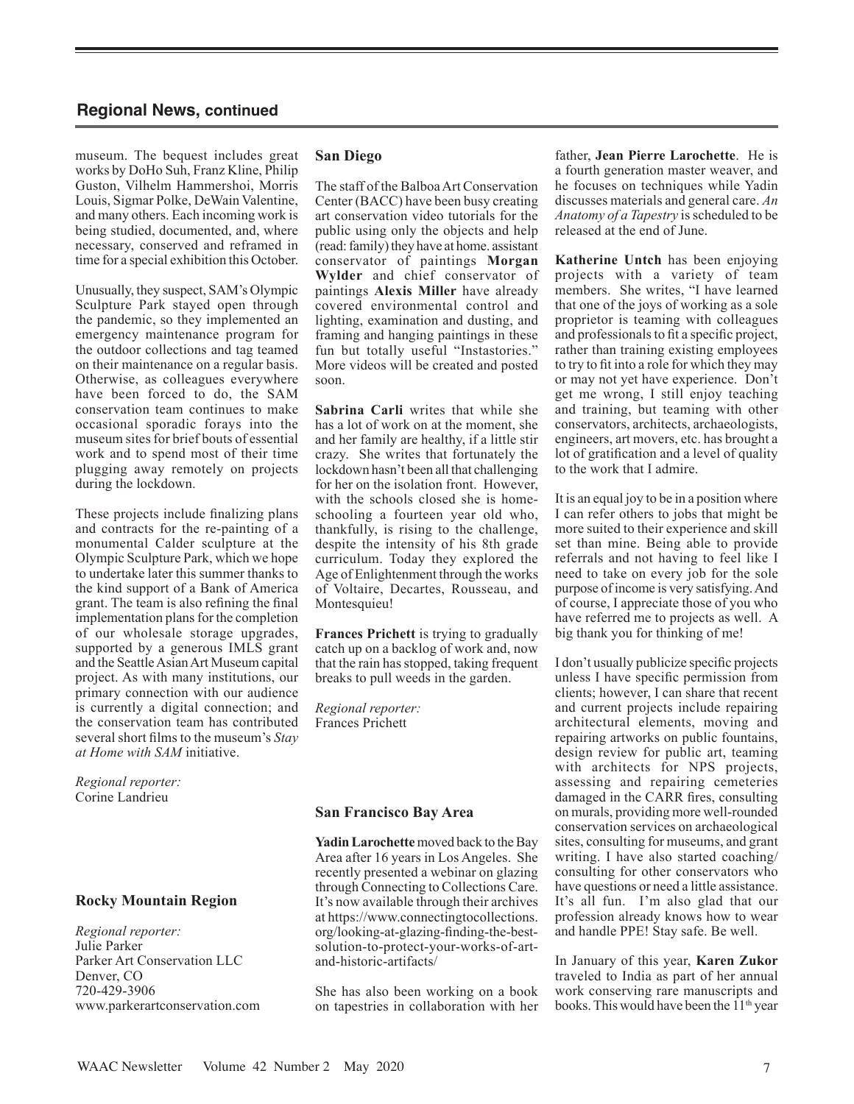museum. The bequest includes great works by DoHo Suh, Franz Kline, Philip Guston, Vilhelm Hammershoi, Morris Louis, Sigmar Polke, DeWain Valentine, and many others. Each incoming work is being studied, documented, and, where necessary, conserved and reframed in time for a special exhibition this October.

Unusually, they suspect, SAM's Olympic Sculpture Park stayed open through the pandemic, so they implemented an emergency maintenance program for the outdoor collections and tag teamed on their maintenance on a regular basis. Otherwise, as colleagues everywhere have been forced to do, the SAM conservation team continues to make occasional sporadic forays into the museum sites for brief bouts of essential work and to spend most of their time plugging away remotely on projects during the lockdown.

These projects include finalizing plans and contracts for the re-painting of a monumental Calder sculpture at the Olympic Sculpture Park, which we hope to undertake later this summer thanks to the kind support of a Bank of America grant. The team is also refining the final implementation plans for the completion of our wholesale storage upgrades, supported by a generous IMLS grant and the Seattle Asian Art Museum capital project. As with many institutions, our primary connection with our audience is currently a digital connection; and the conservation team has contributed several short films to the museum's *Stay at Home with SAM* initiative.

*Regional reporter:* Corine Landrieu

# **Rocky Mountain Region**

*Regional reporter:* Julie Parker Parker Art Conservation LLC Denver, CO 720-429-3906 www.parkerartconservation.com

#### **San Diego**

The staff of the Balboa Art Conservation Center (BACC) have been busy creating art conservation video tutorials for the public using only the objects and help (read: family) they have at home. assistant conservator of paintings **Morgan Wylder** and chief conservator of paintings **Alexis Miller** have already covered environmental control and lighting, examination and dusting, and framing and hanging paintings in these fun but totally useful "Instastories." More videos will be created and posted soon.

**Sabrina Carli** writes that while she has a lot of work on at the moment, she and her family are healthy, if a little stir crazy. She writes that fortunately the lockdown hasn't been all that challenging for her on the isolation front. However, with the schools closed she is homeschooling a fourteen year old who, thankfully, is rising to the challenge, despite the intensity of his 8th grade curriculum. Today they explored the Age of Enlightenment through the works of Voltaire, Decartes, Rousseau, and Montesquieu!

**Frances Prichett** is trying to gradually catch up on a backlog of work and, now that the rain has stopped, taking frequent breaks to pull weeds in the garden.

*Regional reporter:* Frances Prichett

#### **San Francisco Bay Area**

**Yadin Larochette** moved back to the Bay Area after 16 years in Los Angeles. She recently presented a webinar on glazing through Connecting to Collections Care. It's now available through their archives at https://www.connectingtocollections. org/looking-at-glazing-finding-the-bestsolution-to-protect-your-works-of-artand-historic-artifacts/

She has also been working on a book on tapestries in collaboration with her father, **Jean Pierre Larochette**. He is a fourth generation master weaver, and he focuses on techniques while Yadin discusses materials and general care. *An Anatomy of a Tapestry* is scheduled to be released at the end of June.

**Katherine Untch** has been enjoying projects with a variety of team members. She writes, "I have learned that one of the joys of working as a sole proprietor is teaming with colleagues and professionals to fit a specific project, rather than training existing employees to try to fit into a role for which they may or may not yet have experience. Don't get me wrong, I still enjoy teaching and training, but teaming with other conservators, architects, archaeologists, engineers, art movers, etc. has brought a lot of gratification and a level of quality to the work that I admire.

It is an equal joy to be in a position where I can refer others to jobs that might be more suited to their experience and skill set than mine. Being able to provide referrals and not having to feel like I need to take on every job for the sole purpose of income is very satisfying. And of course, I appreciate those of you who have referred me to projects as well. A big thank you for thinking of me!

I don't usually publicize specific projects unless I have specific permission from clients; however, I can share that recent and current projects include repairing architectural elements, moving and repairing artworks on public fountains, design review for public art, teaming with architects for NPS projects, assessing and repairing cemeteries damaged in the CARR fires, consulting on murals, providing more well-rounded conservation services on archaeological sites, consulting for museums, and grant writing. I have also started coaching/ consulting for other conservators who have questions or need a little assistance. It's all fun. I'm also glad that our profession already knows how to wear and handle PPE! Stay safe. Be well.

In January of this year, **Karen Zukor** traveled to India as part of her annual work conserving rare manuscripts and books. This would have been the  $11<sup>th</sup>$  year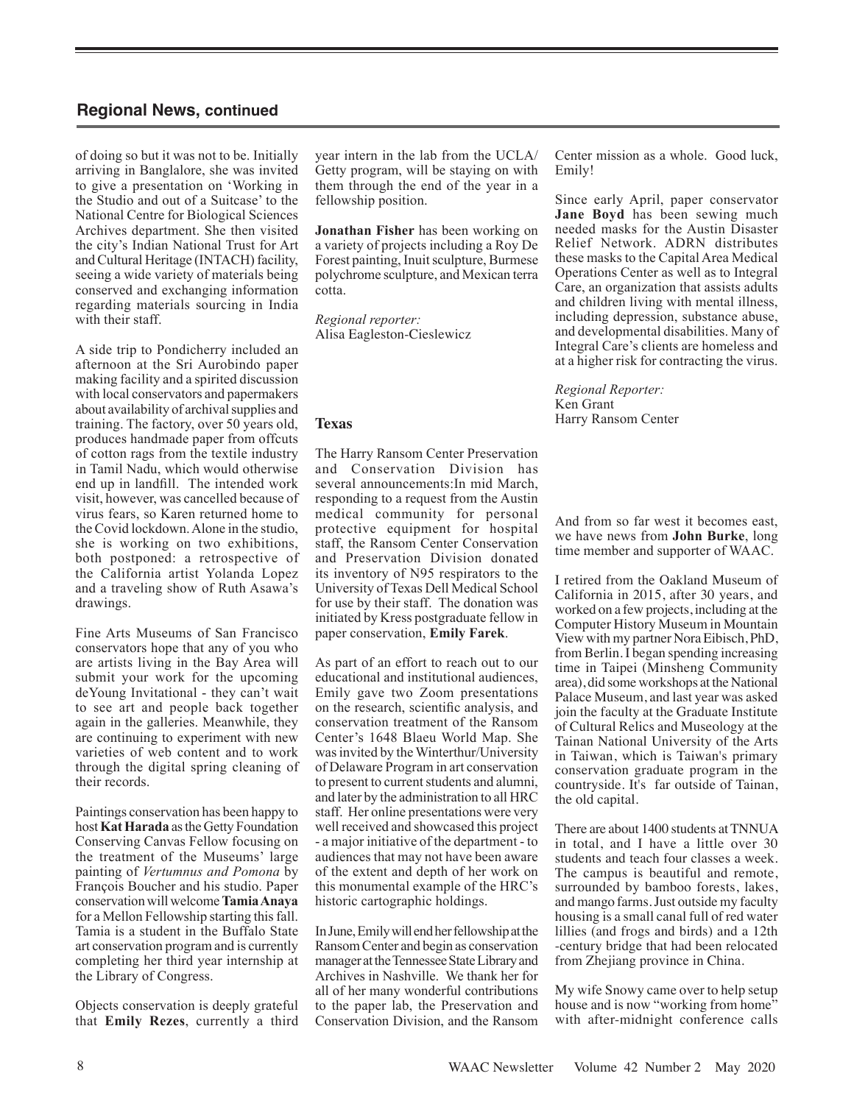of doing so but it was not to be. Initially arriving in Banglalore, she was invited to give a presentation on 'Working in the Studio and out of a Suitcase' to the National Centre for Biological Sciences Archives department. She then visited the city's Indian National Trust for Art and Cultural Heritage (INTACH) facility, seeing a wide variety of materials being conserved and exchanging information regarding materials sourcing in India with their staff.

A side trip to Pondicherry included an afternoon at the Sri Aurobindo paper making facility and a spirited discussion with local conservators and papermakers about availability of archival supplies and training. The factory, over 50 years old, produces handmade paper from offcuts of cotton rags from the textile industry in Tamil Nadu, which would otherwise end up in landfill. The intended work visit, however, was cancelled because of virus fears, so Karen returned home to the Covid lockdown. Alone in the studio, she is working on two exhibitions, both postponed: a retrospective of the California artist Yolanda Lopez and a traveling show of Ruth Asawa's drawings.

Fine Arts Museums of San Francisco conservators hope that any of you who are artists living in the Bay Area will submit your work for the upcoming deYoung Invitational - they can't wait to see art and people back together again in the galleries. Meanwhile, they are continuing to experiment with new varieties of web content and to work through the digital spring cleaning of their records.

Paintings conservation has been happy to host **Kat Harada** as the Getty Foundation Conserving Canvas Fellow focusing on the treatment of the Museums' large painting of *Vertumnus and Pomona* by François Boucher and his studio. Paper conservation will welcome **Tamia Anaya** for a Mellon Fellowship starting this fall. Tamia is a student in the Buffalo State art conservation program and is currently completing her third year internship at the Library of Congress.

Objects conservation is deeply grateful that **Emily Rezes**, currently a third year intern in the lab from the UCLA/ Getty program, will be staying on with them through the end of the year in a fellowship position.

**Jonathan Fisher** has been working on a variety of projects including a Roy De Forest painting, Inuit sculpture, Burmese polychrome sculpture, and Mexican terra cotta.

*Regional reporter:* Alisa Eagleston-Cieslewicz

# **Texas**

The Harry Ransom Center Preservation and Conservation Division has several announcements:In mid March, responding to a request from the Austin medical community for personal protective equipment for hospital staff, the Ransom Center Conservation and Preservation Division donated its inventory of N95 respirators to the University of Texas Dell Medical School for use by their staff. The donation was initiated by Kress postgraduate fellow in paper conservation, **Emily Farek**.

As part of an effort to reach out to our educational and institutional audiences, Emily gave two Zoom presentations on the research, scientific analysis, and conservation treatment of the Ransom Center's 1648 Blaeu World Map. She was invited by the Winterthur/University of Delaware Program in art conservation to present to current students and alumni, and later by the administration to all HRC staff. Her online presentations were very well received and showcased this project - a major initiative of the department - to audiences that may not have been aware of the extent and depth of her work on this monumental example of the HRC's historic cartographic holdings.

In June, Emily will end her fellowship at the Ransom Center and begin as conservation manager at the Tennessee State Library and Archives in Nashville. We thank her for all of her many wonderful contributions to the paper lab, the Preservation and Conservation Division, and the Ransom Center mission as a whole. Good luck, Emily!

Since early April, paper conservator **Jane Boyd** has been sewing much needed masks for the Austin Disaster Relief Network. ADRN distributes these masks to the Capital Area Medical Operations Center as well as to Integral Care, an organization that assists adults and children living with mental illness, including depression, substance abuse, and developmental disabilities. Many of Integral Care's clients are homeless and at a higher risk for contracting the virus.

*Regional Reporter:* Ken Grant Harry Ransom Center

And from so far west it becomes east, we have news from **John Burke**, long time member and supporter of WAAC.

I retired from the Oakland Museum of California in 2015, after 30 years, and worked on a few projects, including at the Computer History Museum in Mountain View with my partner Nora Eibisch, PhD, from Berlin. I began spending increasing time in Taipei (Minsheng Community area), did some workshops at the National Palace Museum, and last year was asked join the faculty at the Graduate Institute of Cultural Relics and Museology at the Tainan National University of the Arts in Taiwan, which is Taiwan's primary conservation graduate program in the countryside. It's far outside of Tainan, the old capital.

There are about 1400 students at TNNUA in total, and I have a little over 30 students and teach four classes a week. The campus is beautiful and remote, surrounded by bamboo forests, lakes, and mango farms. Just outside my faculty housing is a small canal full of red water lillies (and frogs and birds) and a 12th -century bridge that had been relocated from Zhejiang province in China.

My wife Snowy came over to help setup house and is now "working from home" with after-midnight conference calls